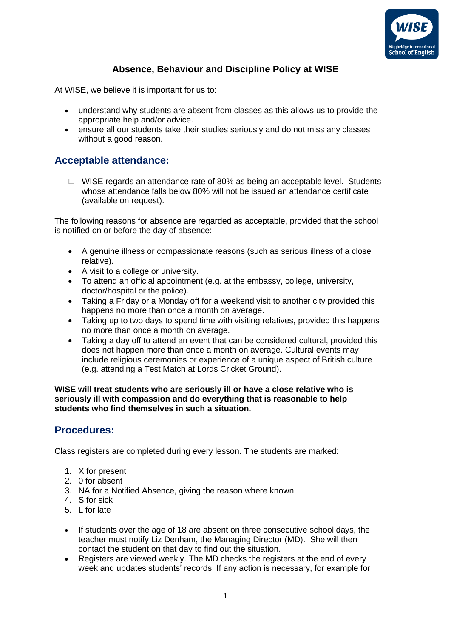

# **Absence, Behaviour and Discipline Policy at WISE**

At WISE, we believe it is important for us to:

- understand why students are absent from classes as this allows us to provide the appropriate help and/or advice.
- ensure all our students take their studies seriously and do not miss any classes without a good reason.

#### **Acceptable attendance:**

 $\Box$  WISE regards an attendance rate of 80% as being an acceptable level. Students whose attendance falls below 80% will not be issued an attendance certificate (available on request).

The following reasons for absence are regarded as acceptable, provided that the school is notified on or before the day of absence:

- A genuine illness or compassionate reasons (such as serious illness of a close relative).
- A visit to a college or university.
- To attend an official appointment (e.g. at the embassy, college, university, doctor/hospital or the police).
- Taking a Friday or a Monday off for a weekend visit to another city provided this happens no more than once a month on average.
- Taking up to two days to spend time with visiting relatives, provided this happens no more than once a month on average.
- Taking a day off to attend an event that can be considered cultural, provided this does not happen more than once a month on average. Cultural events may include religious ceremonies or experience of a unique aspect of British culture (e.g. attending a Test Match at Lords Cricket Ground).

**WISE will treat students who are seriously ill or have a close relative who is seriously ill with compassion and do everything that is reasonable to help students who find themselves in such a situation.**

### **Procedures:**

Class registers are completed during every lesson. The students are marked:

- 1. X for present
- 2. 0 for absent
- 3. NA for a Notified Absence, giving the reason where known
- 4. S for sick
- 5. L for late
- If students over the age of 18 are absent on three consecutive school days, the teacher must notify Liz Denham, the Managing Director (MD). She will then contact the student on that day to find out the situation.
- Registers are viewed weekly. The MD checks the registers at the end of every week and updates students' records. If any action is necessary, for example for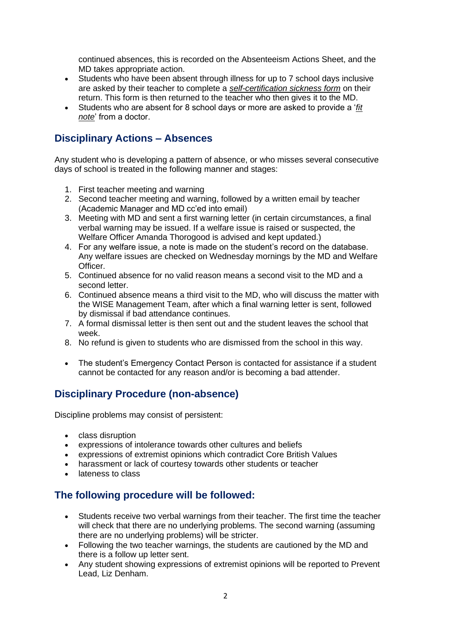continued absences, this is recorded on the Absenteeism Actions Sheet, and the MD takes appropriate action.

- Students who have been absent through illness for up to 7 school days inclusive are asked by their teacher to complete a *self-certification sickness form* on their return. This form is then returned to the teacher who then gives it to the MD.
- Students who are absent for 8 school days or more are asked to provide a '*fit note*' from a doctor.

## **Disciplinary Actions – Absences**

Any student who is developing a pattern of absence, or who misses several consecutive days of school is treated in the following manner and stages:

- 1. First teacher meeting and warning
- 2. Second teacher meeting and warning, followed by a written email by teacher (Academic Manager and MD cc'ed into email)
- 3. Meeting with MD and sent a first warning letter (in certain circumstances, a final verbal warning may be issued. If a welfare issue is raised or suspected, the Welfare Officer Amanda Thorogood is advised and kept updated.)
- 4. For any welfare issue, a note is made on the student's record on the database. Any welfare issues are checked on Wednesday mornings by the MD and Welfare Officer.
- 5. Continued absence for no valid reason means a second visit to the MD and a second letter.
- 6. Continued absence means a third visit to the MD, who will discuss the matter with the WISE Management Team, after which a final warning letter is sent, followed by dismissal if bad attendance continues.
- 7. A formal dismissal letter is then sent out and the student leaves the school that week.
- 8. No refund is given to students who are dismissed from the school in this way.
- The student's Emergency Contact Person is contacted for assistance if a student cannot be contacted for any reason and/or is becoming a bad attender.

# **Disciplinary Procedure (non-absence)**

Discipline problems may consist of persistent:

- class disruption
- expressions of intolerance towards other cultures and beliefs
- expressions of extremist opinions which contradict Core British Values
- harassment or lack of courtesy towards other students or teacher
- lateness to class

### **The following procedure will be followed:**

- Students receive two verbal warnings from their teacher. The first time the teacher will check that there are no underlying problems. The second warning (assuming there are no underlying problems) will be stricter.
- Following the two teacher warnings, the students are cautioned by the MD and there is a follow up letter sent.
- Any student showing expressions of extremist opinions will be reported to Prevent Lead, Liz Denham.